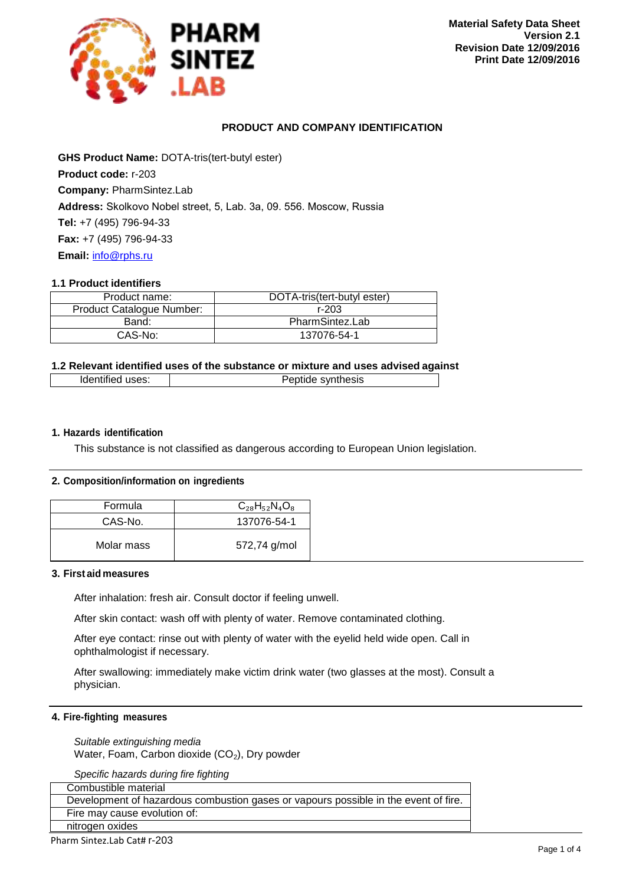

# **PRODUCT AND COMPANY IDENTIFICATION**

**GHS Product Name:** DOTA-tris(tert-butyl ester) **Product code:** r-203 **Company:** PharmSintez.Lab **Address:** Skolkovo Nobel street, 5, Lab. 3а, 09. 556. Moscow, Russia **Tel:** +7 (495) 796-94-33 **Fax:** +7 (495) 796-94-33 **Email:** [info@rphs.ru](mailto:info@pharm-sintez.ru)

### **1.1 Product identifiers**

| Product name:             | DOTA-tris(tert-butyl ester) |  |
|---------------------------|-----------------------------|--|
| Product Catalogue Number: | r-203                       |  |
| Band:                     | PharmSintez.Lab             |  |
| CAS-No:                   | 137076-54-1                 |  |

# **1.2 Relevant identified uses of the substance or mixture and uses advised against**

| Identified uses: | Peptide synthesis |
|------------------|-------------------|
|                  |                   |

# **1. Hazards identification**

This substance is not classified as dangerous according to European Union legislation.

#### **2. Composition/information on ingredients**

| Formula    | $C_{28}H_{52}N_4O_8$ |
|------------|----------------------|
| CAS-No.    | 137076-54-1          |
| Molar mass | 572,74 g/mol         |

### **3. First aid measures**

After inhalation: fresh air. Consult doctor if feeling unwell.

After skin contact: wash off with plenty of water. Remove contaminated clothing.

After eye contact: rinse out with plenty of water with the eyelid held wide open. Call in ophthalmologist if necessary.

After swallowing: immediately make victim drink water (two glasses at the most). Consult a physician.

# **4. Fire-fighting measures**

*Suitable extinguishing media* Water, Foam, Carbon dioxide  $(CO<sub>2</sub>)$ , Dry powder

*Specific hazards during fire fighting*

| Combustible material                                                                |
|-------------------------------------------------------------------------------------|
| Development of hazardous combustion gases or vapours possible in the event of fire. |
| Fire may cause evolution of:                                                        |
| nitrogen oxides                                                                     |

Pharm Sintez.Lab Cat# r-203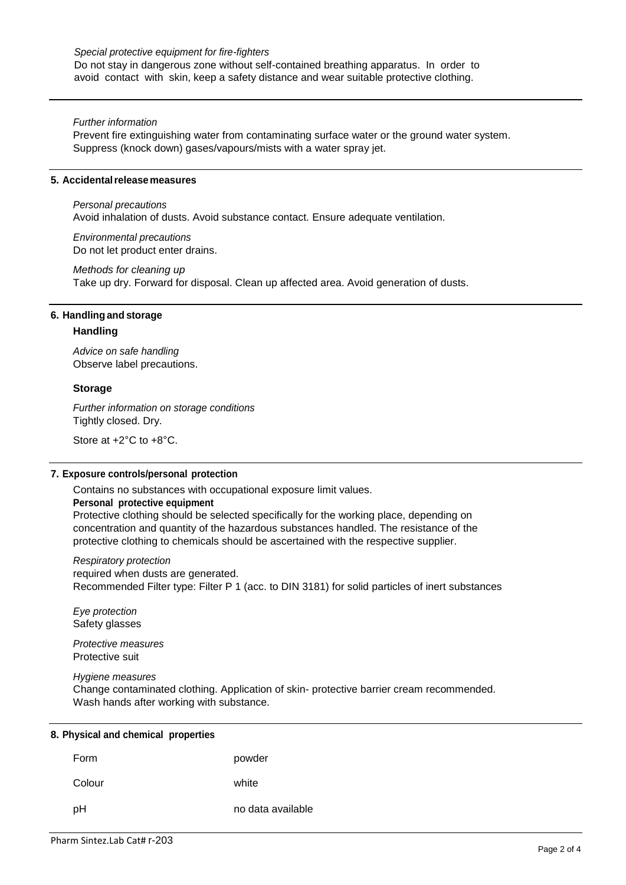### *Special protective equipment for fire-fighters*

Do not stay in dangerous zone without self-contained breathing apparatus. In order to avoid contact with skin, keep a safety distance and wear suitable protective clothing.

### *Further information*

Prevent fire extinguishing water from contaminating surface water or the ground water system. Suppress (knock down) gases/vapours/mists with a water spray jet.

### **5. Accidentalreleasemeasures**

*Personal precautions*

Avoid inhalation of dusts. Avoid substance contact. Ensure adequate ventilation.

*Environmental precautions* Do not let product enter drains.

*Methods for cleaning up* Take up dry. Forward for disposal. Clean up affected area. Avoid generation of dusts.

# **6. Handling and storage**

### **Handling**

*Advice on safe handling* Observe label precautions.

#### **Storage**

*Further information on storage conditions* Tightly closed. Dry.

Store at +2°C to +8°C.

### **7. Exposure controls/personal protection**

Contains no substances with occupational exposure limit values.

#### **Personal protective equipment**

Protective clothing should be selected specifically for the working place, depending on concentration and quantity of the hazardous substances handled. The resistance of the protective clothing to chemicals should be ascertained with the respective supplier.

*Respiratory protection* required when dusts are generated. Recommended Filter type: Filter P 1 (acc. to DIN 3181) for solid particles of inert substances

*Eye protection* Safety glasses

*Protective measures* Protective suit

*Hygiene measures*

Change contaminated clothing. Application of skin- protective barrier cream recommended. Wash hands after working with substance.

| Form   | powder            |
|--------|-------------------|
| Colour | white             |
| рH     | no data available |

# **8. Physical and chemical properties**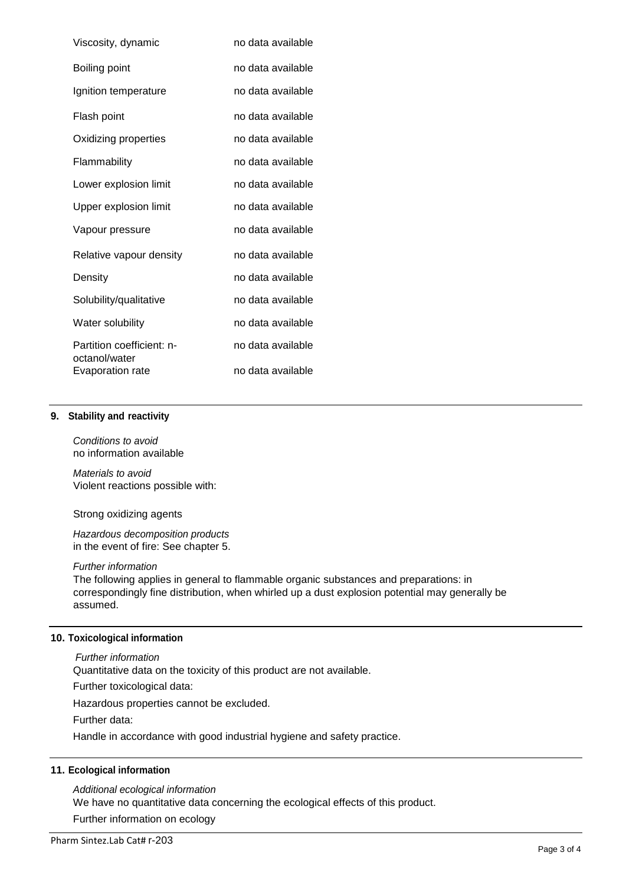| Viscosity, dynamic                         | no data available |
|--------------------------------------------|-------------------|
| Boiling point                              | no data available |
| Ignition temperature                       | no data available |
| Flash point                                | no data available |
| Oxidizing properties                       | no data available |
| Flammability                               | no data available |
| Lower explosion limit                      | no data available |
| Upper explosion limit                      | no data available |
| Vapour pressure                            | no data available |
| Relative vapour density                    | no data available |
| Density                                    | no data available |
| Solubility/qualitative                     | no data available |
| Water solubility                           | no data available |
| Partition coefficient: n-<br>octanol/water | no data available |
| Evaporation rate                           | no data available |

# **9. Stability and reactivity**

*Conditions to avoid* no information available

*Materials to avoid* Violent reactions possible with:

Strong oxidizing agents

*Hazardous decomposition products* in the event of fire: See chapter 5.

#### *Further information*

The following applies in general to flammable organic substances and preparations: in correspondingly fine distribution, when whirled up a dust explosion potential may generally be assumed.

# **10. Toxicological information**

*Further information*

Quantitative data on the toxicity of this product are not available.

Further toxicological data:

Hazardous properties cannot be excluded.

Further data:

Handle in accordance with good industrial hygiene and safety practice.

## **11. Ecological information**

*Additional ecological information* We have no quantitative data concerning the ecological effects of this product.

Further information on ecology